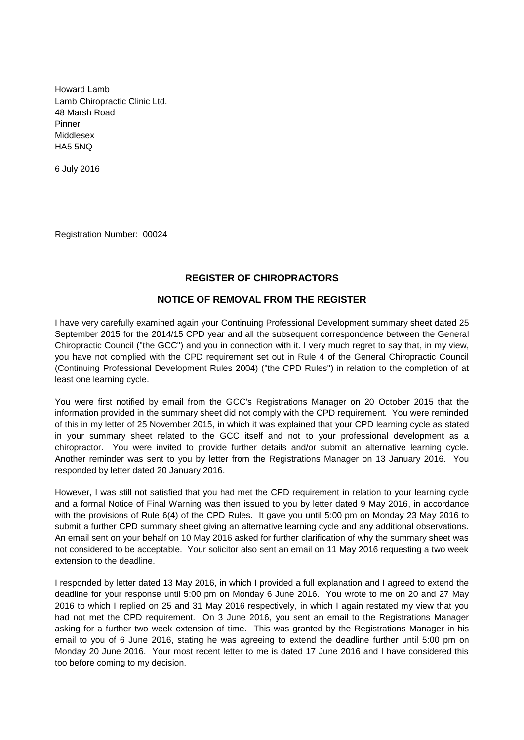Howard Lamb Lamb Chiropractic Clinic Ltd. 48 Marsh Road Pinner Middlesex HA5 5NQ

6 July 2016

Registration Number: 00024

## **REGISTER OF CHIROPRACTORS**

## **NOTICE OF REMOVAL FROM THE REGISTER**

I have very carefully examined again your Continuing Professional Development summary sheet dated 25 September 2015 for the 2014/15 CPD year and all the subsequent correspondence between the General Chiropractic Council ("the GCC") and you in connection with it. I very much regret to say that, in my view, you have not complied with the CPD requirement set out in Rule 4 of the General Chiropractic Council (Continuing Professional Development Rules 2004) ("the CPD Rules") in relation to the completion of at least one learning cycle.

You were first notified by email from the GCC's Registrations Manager on 20 October 2015 that the information provided in the summary sheet did not comply with the CPD requirement. You were reminded of this in my letter of 25 November 2015, in which it was explained that your CPD learning cycle as stated in your summary sheet related to the GCC itself and not to your professional development as a chiropractor. You were invited to provide further details and/or submit an alternative learning cycle. Another reminder was sent to you by letter from the Registrations Manager on 13 January 2016. You responded by letter dated 20 January 2016.

However, I was still not satisfied that you had met the CPD requirement in relation to your learning cycle and a formal Notice of Final Warning was then issued to you by letter dated 9 May 2016, in accordance with the provisions of Rule 6(4) of the CPD Rules. It gave you until 5:00 pm on Monday 23 May 2016 to submit a further CPD summary sheet giving an alternative learning cycle and any additional observations. An email sent on your behalf on 10 May 2016 asked for further clarification of why the summary sheet was not considered to be acceptable. Your solicitor also sent an email on 11 May 2016 requesting a two week extension to the deadline.

I responded by letter dated 13 May 2016, in which I provided a full explanation and I agreed to extend the deadline for your response until 5:00 pm on Monday 6 June 2016. You wrote to me on 20 and 27 May 2016 to which I replied on 25 and 31 May 2016 respectively, in which I again restated my view that you had not met the CPD requirement. On 3 June 2016, you sent an email to the Registrations Manager asking for a further two week extension of time. This was granted by the Registrations Manager in his email to you of 6 June 2016, stating he was agreeing to extend the deadline further until 5:00 pm on Monday 20 June 2016. Your most recent letter to me is dated 17 June 2016 and I have considered this too before coming to my decision.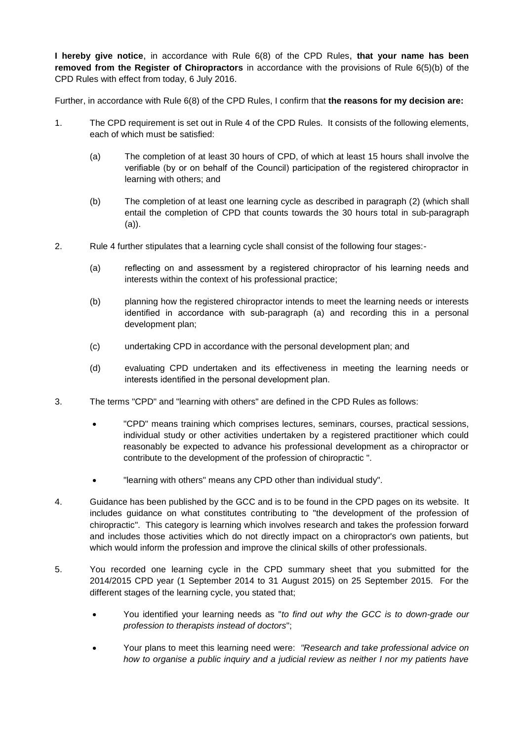**I hereby give notice**, in accordance with Rule 6(8) of the CPD Rules, **that your name has been removed from the Register of Chiropractors** in accordance with the provisions of Rule 6(5)(b) of the CPD Rules with effect from today, 6 July 2016.

Further, in accordance with Rule 6(8) of the CPD Rules, I confirm that **the reasons for my decision are:**

- 1. The CPD requirement is set out in Rule 4 of the CPD Rules. It consists of the following elements, each of which must be satisfied:
	- (a) The completion of at least 30 hours of CPD, of which at least 15 hours shall involve the verifiable (by or on behalf of the Council) participation of the registered chiropractor in learning with others; and
	- (b) The completion of at least one learning cycle as described in paragraph (2) (which shall entail the completion of CPD that counts towards the 30 hours total in sub-paragraph (a)).
- 2. Rule 4 further stipulates that a learning cycle shall consist of the following four stages:-
	- (a) reflecting on and assessment by a registered chiropractor of his learning needs and interests within the context of his professional practice;
	- (b) planning how the registered chiropractor intends to meet the learning needs or interests identified in accordance with sub-paragraph (a) and recording this in a personal development plan;
	- (c) undertaking CPD in accordance with the personal development plan; and
	- (d) evaluating CPD undertaken and its effectiveness in meeting the learning needs or interests identified in the personal development plan.
- 3. The terms "CPD" and "learning with others" are defined in the CPD Rules as follows:
	- "CPD" means training which comprises lectures, seminars, courses, practical sessions, individual study or other activities undertaken by a registered practitioner which could reasonably be expected to advance his professional development as a chiropractor or contribute to the development of the profession of chiropractic ".
	- "learning with others" means any CPD other than individual study".
- 4. Guidance has been published by the GCC and is to be found in the CPD pages on its website. It includes guidance on what constitutes contributing to "the development of the profession of chiropractic". This category is learning which involves research and takes the profession forward and includes those activities which do not directly impact on a chiropractor's own patients, but which would inform the profession and improve the clinical skills of other professionals.
- 5. You recorded one learning cycle in the CPD summary sheet that you submitted for the 2014/2015 CPD year (1 September 2014 to 31 August 2015) on 25 September 2015. For the different stages of the learning cycle, you stated that;
	- You identified your learning needs as "*to find out why the GCC is to down-grade our profession to therapists instead of doctors*";
	- Your plans to meet this learning need were: *"Research and take professional advice on how to organise a public inquiry and a judicial review as neither I nor my patients have*